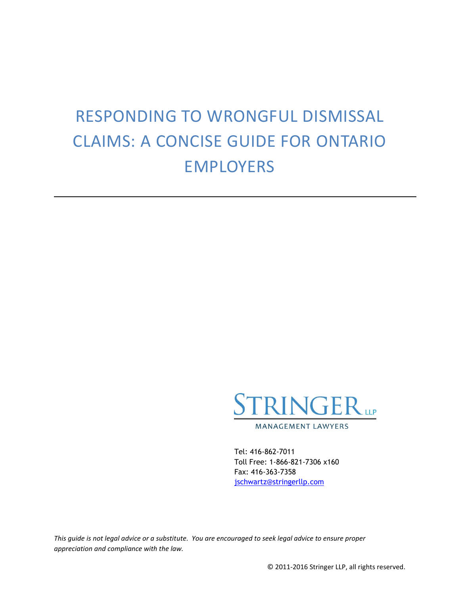# RESPONDING TO WRONGFUL DISMISSAL CLAIMS: A CONCISE GUIDE FOR ONTARIO EMPLOYERS



Tel: 416-862-7011 Toll Free: 1-866-821-7306 x160 Fax: 416-363-7358 [jschwartz@stringerllp.com](mailto:jschwartz@stringerllp.com)

*This guide is not legal advice or a substitute. You are encouraged to seek legal advice to ensure proper appreciation and compliance with the law.*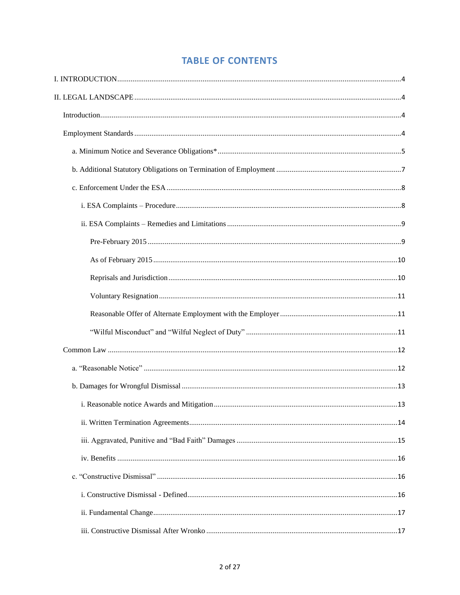# **TABLE OF CONTENTS**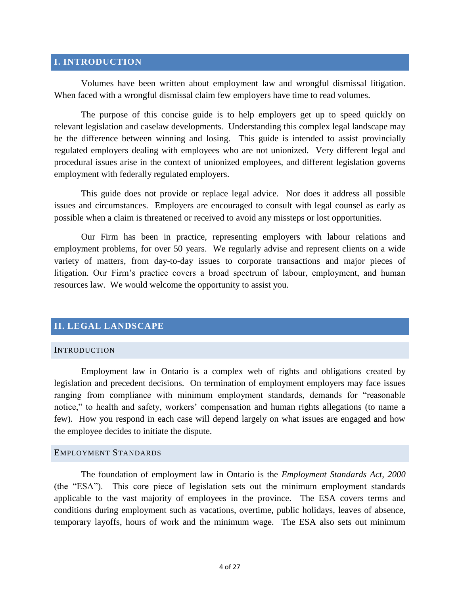#### <span id="page-3-0"></span>**I. INTRODUCTION**

Volumes have been written about employment law and wrongful dismissal litigation. When faced with a wrongful dismissal claim few employers have time to read volumes.

The purpose of this concise guide is to help employers get up to speed quickly on relevant legislation and caselaw developments. Understanding this complex legal landscape may be the difference between winning and losing. This guide is intended to assist provincially regulated employers dealing with employees who are not unionized. Very different legal and procedural issues arise in the context of unionized employees, and different legislation governs employment with federally regulated employers.

This guide does not provide or replace legal advice. Nor does it address all possible issues and circumstances. Employers are encouraged to consult with legal counsel as early as possible when a claim is threatened or received to avoid any missteps or lost opportunities.

Our Firm has been in practice, representing employers with labour relations and employment problems, for over 50 years. We regularly advise and represent clients on a wide variety of matters, from day-to-day issues to corporate transactions and major pieces of litigation. Our Firm's practice covers a broad spectrum of labour, employment, and human resources law. We would welcome the opportunity to assist you.

#### <span id="page-3-1"></span>**II. LEGAL LANDSCAPE**

#### <span id="page-3-2"></span>**INTRODUCTION**

Employment law in Ontario is a complex web of rights and obligations created by legislation and precedent decisions. On termination of employment employers may face issues ranging from compliance with minimum employment standards, demands for "reasonable notice," to health and safety, workers' compensation and human rights allegations (to name a few). How you respond in each case will depend largely on what issues are engaged and how the employee decides to initiate the dispute.

#### <span id="page-3-3"></span>EMPLOYMENT STANDARDS

The foundation of employment law in Ontario is the *Employment Standards Act, 2000* (the "ESA"). This core piece of legislation sets out the minimum employment standards applicable to the vast majority of employees in the province. The ESA covers terms and conditions during employment such as vacations, overtime, public holidays, leaves of absence, temporary layoffs, hours of work and the minimum wage. The ESA also sets out minimum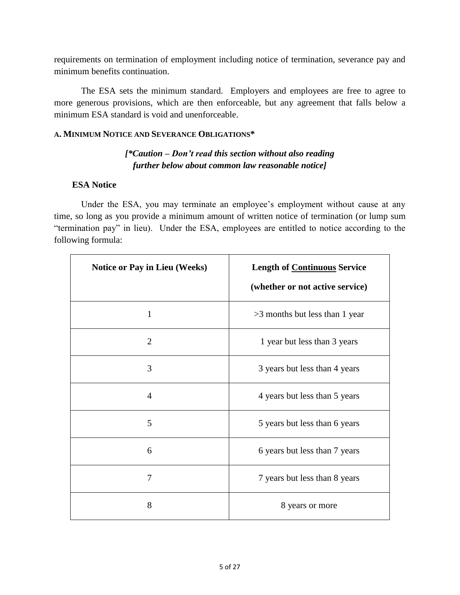requirements on termination of employment including notice of termination, severance pay and minimum benefits continuation.

The ESA sets the minimum standard. Employers and employees are free to agree to more generous provisions, which are then enforceable, but any agreement that falls below a minimum ESA standard is void and unenforceable.

#### <span id="page-4-0"></span>**A. MINIMUM NOTICE AND SEVERANCE OBLIGATIONS\***

# *[\*Caution – Don't read this section without also reading further below about common law reasonable notice]*

#### **ESA Notice**

Under the ESA, you may terminate an employee's employment without cause at any time, so long as you provide a minimum amount of written notice of termination (or lump sum "termination pay" in lieu). Under the ESA, employees are entitled to notice according to the following formula:

| Notice or Pay in Lieu (Weeks) | <b>Length of Continuous Service</b><br>(whether or not active service) |
|-------------------------------|------------------------------------------------------------------------|
| $\mathbf{1}$                  | >3 months but less than 1 year                                         |
| $\overline{2}$                | 1 year but less than 3 years                                           |
| 3                             | 3 years but less than 4 years                                          |
| $\overline{4}$                | 4 years but less than 5 years                                          |
| 5                             | 5 years but less than 6 years                                          |
| 6                             | 6 years but less than 7 years                                          |
| $\overline{7}$                | 7 years but less than 8 years                                          |
| 8                             | 8 years or more                                                        |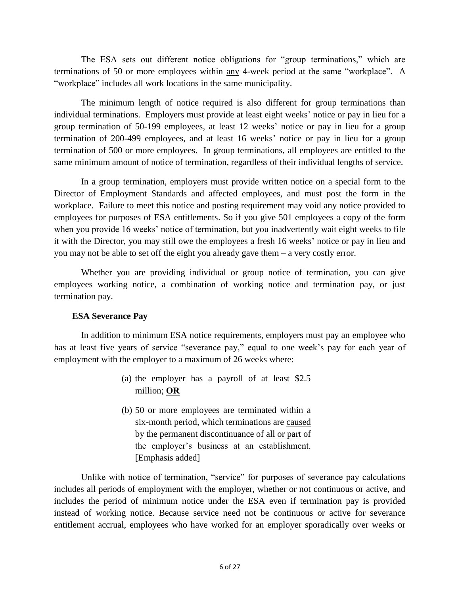The ESA sets out different notice obligations for "group terminations," which are terminations of 50 or more employees within any 4-week period at the same "workplace". A "workplace" includes all work locations in the same municipality.

The minimum length of notice required is also different for group terminations than individual terminations. Employers must provide at least eight weeks' notice or pay in lieu for a group termination of 50-199 employees, at least 12 weeks' notice or pay in lieu for a group termination of 200-499 employees, and at least 16 weeks' notice or pay in lieu for a group termination of 500 or more employees. In group terminations, all employees are entitled to the same minimum amount of notice of termination, regardless of their individual lengths of service.

In a group termination, employers must provide written notice on a special form to the Director of Employment Standards and affected employees, and must post the form in the workplace. Failure to meet this notice and posting requirement may void any notice provided to employees for purposes of ESA entitlements. So if you give 501 employees a copy of the form when you provide 16 weeks' notice of termination, but you inadvertently wait eight weeks to file it with the Director, you may still owe the employees a fresh 16 weeks' notice or pay in lieu and you may not be able to set off the eight you already gave them – a very costly error.

Whether you are providing individual or group notice of termination, you can give employees working notice, a combination of working notice and termination pay, or just termination pay.

# **ESA Severance Pay**

In addition to minimum ESA notice requirements, employers must pay an employee who has at least five years of service "severance pay," equal to one week's pay for each year of employment with the employer to a maximum of 26 weeks where:

- (a) the employer has a payroll of at least \$2.5 million; **OR**
- (b) 50 or more employees are terminated within a six-month period, which terminations are caused by the permanent discontinuance of all or part of the employer's business at an establishment. [Emphasis added]

Unlike with notice of termination, "service" for purposes of severance pay calculations includes all periods of employment with the employer, whether or not continuous or active, and includes the period of minimum notice under the ESA even if termination pay is provided instead of working notice. Because service need not be continuous or active for severance entitlement accrual, employees who have worked for an employer sporadically over weeks or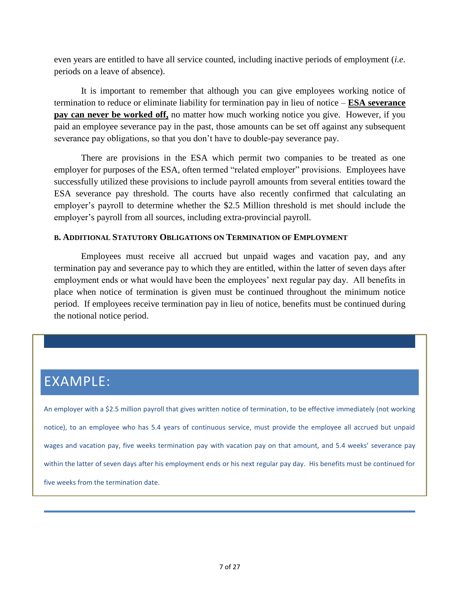even years are entitled to have all service counted, including inactive periods of employment (*i.e.*  periods on a leave of absence).

It is important to remember that although you can give employees working notice of termination to reduce or eliminate liability for termination pay in lieu of notice – **ESA severance pay can never be worked off,** no matter how much working notice you give. However, if you paid an employee severance pay in the past, those amounts can be set off against any subsequent severance pay obligations, so that you don't have to double-pay severance pay.

There are provisions in the ESA which permit two companies to be treated as one employer for purposes of the ESA, often termed "related employer" provisions. Employees have successfully utilized these provisions to include payroll amounts from several entities toward the ESA severance pay threshold. The courts have also recently confirmed that calculating an employer's payroll to determine whether the \$2.5 Million threshold is met should include the employer's payroll from all sources, including extra-provincial payroll.

#### <span id="page-6-0"></span>**B. ADDITIONAL STATUTORY OBLIGATIONS ON TERMINATION OF EMPLOYMENT**

Employees must receive all accrued but unpaid wages and vacation pay, and any termination pay and severance pay to which they are entitled, within the latter of seven days after employment ends or what would have been the employees' next regular pay day. All benefits in place when notice of termination is given must be continued throughout the minimum notice period. If employees receive termination pay in lieu of notice, benefits must be continued during the notional notice period.

# EXAMPLE:

An employer with a \$2.5 million payroll that gives written notice of termination, to be effective immediately (not working notice), to an employee who has 5.4 years of continuous service, must provide the employee all accrued but unpaid wages and vacation pay, five weeks termination pay with vacation pay on that amount, and 5.4 weeks' severance pay within the latter of seven days after his employment ends or his next regular pay day. His benefits must be continued for five weeks from the termination date.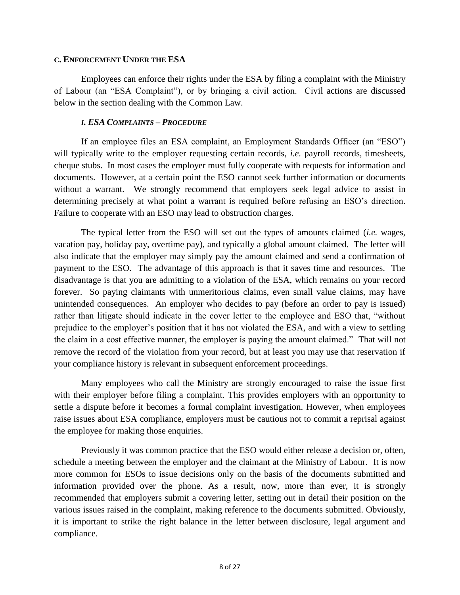#### <span id="page-7-0"></span>**C. ENFORCEMENT UNDER THE ESA**

Employees can enforce their rights under the ESA by filing a complaint with the Ministry of Labour (an "ESA Complaint"), or by bringing a civil action. Civil actions are discussed below in the section dealing with the Common Law.

#### *I. ESA COMPLAINTS – PROCEDURE*

<span id="page-7-1"></span>If an employee files an ESA complaint, an Employment Standards Officer (an "ESO") will typically write to the employer requesting certain records, *i.e.* payroll records, timesheets, cheque stubs. In most cases the employer must fully cooperate with requests for information and documents. However, at a certain point the ESO cannot seek further information or documents without a warrant. We strongly recommend that employers seek legal advice to assist in determining precisely at what point a warrant is required before refusing an ESO's direction. Failure to cooperate with an ESO may lead to obstruction charges.

The typical letter from the ESO will set out the types of amounts claimed (*i.e.* wages, vacation pay, holiday pay, overtime pay), and typically a global amount claimed. The letter will also indicate that the employer may simply pay the amount claimed and send a confirmation of payment to the ESO. The advantage of this approach is that it saves time and resources. The disadvantage is that you are admitting to a violation of the ESA, which remains on your record forever. So paying claimants with unmeritorious claims, even small value claims, may have unintended consequences. An employer who decides to pay (before an order to pay is issued) rather than litigate should indicate in the cover letter to the employee and ESO that, "without prejudice to the employer's position that it has not violated the ESA, and with a view to settling the claim in a cost effective manner, the employer is paying the amount claimed." That will not remove the record of the violation from your record, but at least you may use that reservation if your compliance history is relevant in subsequent enforcement proceedings.

Many employees who call the Ministry are strongly encouraged to raise the issue first with their employer before filing a complaint. This provides employers with an opportunity to settle a dispute before it becomes a formal complaint investigation. However, when employees raise issues about ESA compliance, employers must be cautious not to commit a reprisal against the employee for making those enquiries.

Previously it was common practice that the ESO would either release a decision or, often, schedule a meeting between the employer and the claimant at the Ministry of Labour. It is now more common for ESOs to issue decisions only on the basis of the documents submitted and information provided over the phone. As a result, now, more than ever, it is strongly recommended that employers submit a covering letter, setting out in detail their position on the various issues raised in the complaint, making reference to the documents submitted. Obviously, it is important to strike the right balance in the letter between disclosure, legal argument and compliance.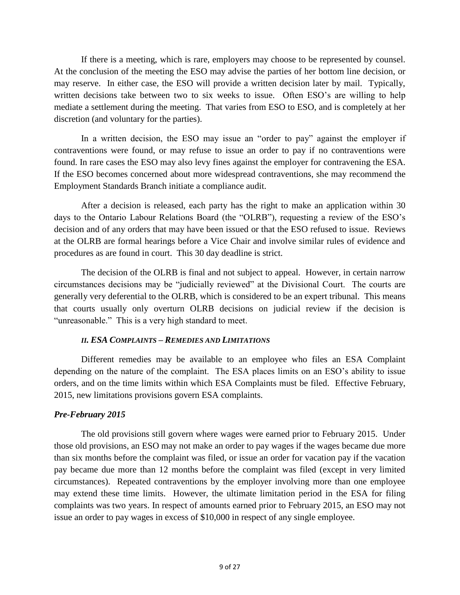If there is a meeting, which is rare, employers may choose to be represented by counsel. At the conclusion of the meeting the ESO may advise the parties of her bottom line decision, or may reserve. In either case, the ESO will provide a written decision later by mail. Typically, written decisions take between two to six weeks to issue. Often ESO's are willing to help mediate a settlement during the meeting. That varies from ESO to ESO, and is completely at her discretion (and voluntary for the parties).

In a written decision, the ESO may issue an "order to pay" against the employer if contraventions were found, or may refuse to issue an order to pay if no contraventions were found. In rare cases the ESO may also levy fines against the employer for contravening the ESA. If the ESO becomes concerned about more widespread contraventions, she may recommend the Employment Standards Branch initiate a compliance audit.

After a decision is released, each party has the right to make an application within 30 days to the Ontario Labour Relations Board (the "OLRB"), requesting a review of the ESO's decision and of any orders that may have been issued or that the ESO refused to issue. Reviews at the OLRB are formal hearings before a Vice Chair and involve similar rules of evidence and procedures as are found in court. This 30 day deadline is strict.

The decision of the OLRB is final and not subject to appeal. However, in certain narrow circumstances decisions may be "judicially reviewed" at the Divisional Court. The courts are generally very deferential to the OLRB, which is considered to be an expert tribunal. This means that courts usually only overturn OLRB decisions on judicial review if the decision is "unreasonable." This is a very high standard to meet.

#### *II. ESA COMPLAINTS – REMEDIES AND LIMITATIONS*

<span id="page-8-0"></span>Different remedies may be available to an employee who files an ESA Complaint depending on the nature of the complaint. The ESA places limits on an ESO's ability to issue orders, and on the time limits within which ESA Complaints must be filed. Effective February, 2015, new limitations provisions govern ESA complaints.

# <span id="page-8-1"></span>*Pre-February 2015*

The old provisions still govern where wages were earned prior to February 2015. Under those old provisions, an ESO may not make an order to pay wages if the wages became due more than six months before the complaint was filed, or issue an order for vacation pay if the vacation pay became due more than 12 months before the complaint was filed (except in very limited circumstances). Repeated contraventions by the employer involving more than one employee may extend these time limits. However, the ultimate limitation period in the ESA for filing complaints was two years. In respect of amounts earned prior to February 2015, an ESO may not issue an order to pay wages in excess of \$10,000 in respect of any single employee.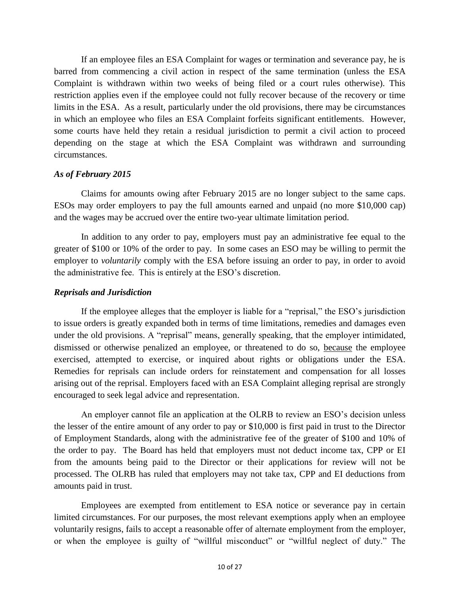If an employee files an ESA Complaint for wages or termination and severance pay, he is barred from commencing a civil action in respect of the same termination (unless the ESA Complaint is withdrawn within two weeks of being filed or a court rules otherwise). This restriction applies even if the employee could not fully recover because of the recovery or time limits in the ESA. As a result, particularly under the old provisions, there may be circumstances in which an employee who files an ESA Complaint forfeits significant entitlements. However, some courts have held they retain a residual jurisdiction to permit a civil action to proceed depending on the stage at which the ESA Complaint was withdrawn and surrounding circumstances.

#### <span id="page-9-0"></span>*As of February 2015*

Claims for amounts owing after February 2015 are no longer subject to the same caps. ESOs may order employers to pay the full amounts earned and unpaid (no more \$10,000 cap) and the wages may be accrued over the entire two-year ultimate limitation period.

In addition to any order to pay, employers must pay an administrative fee equal to the greater of \$100 or 10% of the order to pay. In some cases an ESO may be willing to permit the employer to *voluntarily* comply with the ESA before issuing an order to pay, in order to avoid the administrative fee. This is entirely at the ESO's discretion.

#### <span id="page-9-1"></span>*Reprisals and Jurisdiction*

If the employee alleges that the employer is liable for a "reprisal," the ESO's jurisdiction to issue orders is greatly expanded both in terms of time limitations, remedies and damages even under the old provisions. A "reprisal" means, generally speaking, that the employer intimidated, dismissed or otherwise penalized an employee, or threatened to do so, because the employee exercised, attempted to exercise, or inquired about rights or obligations under the ESA. Remedies for reprisals can include orders for reinstatement and compensation for all losses arising out of the reprisal. Employers faced with an ESA Complaint alleging reprisal are strongly encouraged to seek legal advice and representation.

An employer cannot file an application at the OLRB to review an ESO's decision unless the lesser of the entire amount of any order to pay or \$10,000 is first paid in trust to the Director of Employment Standards, along with the administrative fee of the greater of \$100 and 10% of the order to pay. The Board has held that employers must not deduct income tax, CPP or EI from the amounts being paid to the Director or their applications for review will not be processed. The OLRB has ruled that employers may not take tax, CPP and EI deductions from amounts paid in trust.

Employees are exempted from entitlement to ESA notice or severance pay in certain limited circumstances. For our purposes, the most relevant exemptions apply when an employee voluntarily resigns, fails to accept a reasonable offer of alternate employment from the employer, or when the employee is guilty of "willful misconduct" or "willful neglect of duty." The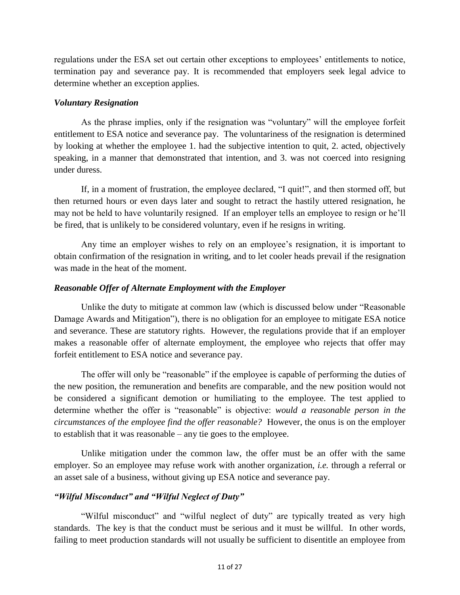regulations under the ESA set out certain other exceptions to employees' entitlements to notice, termination pay and severance pay. It is recommended that employers seek legal advice to determine whether an exception applies.

#### <span id="page-10-0"></span>*Voluntary Resignation*

As the phrase implies, only if the resignation was "voluntary" will the employee forfeit entitlement to ESA notice and severance pay. The voluntariness of the resignation is determined by looking at whether the employee 1. had the subjective intention to quit, 2. acted, objectively speaking, in a manner that demonstrated that intention, and 3. was not coerced into resigning under duress.

If, in a moment of frustration, the employee declared, "I quit!", and then stormed off, but then returned hours or even days later and sought to retract the hastily uttered resignation, he may not be held to have voluntarily resigned. If an employer tells an employee to resign or he'll be fired, that is unlikely to be considered voluntary, even if he resigns in writing.

Any time an employer wishes to rely on an employee's resignation, it is important to obtain confirmation of the resignation in writing, and to let cooler heads prevail if the resignation was made in the heat of the moment.

#### <span id="page-10-1"></span>*Reasonable Offer of Alternate Employment with the Employer*

Unlike the duty to mitigate at common law (which is discussed below under "Reasonable Damage Awards and Mitigation"), there is no obligation for an employee to mitigate ESA notice and severance. These are statutory rights. However, the regulations provide that if an employer makes a reasonable offer of alternate employment, the employee who rejects that offer may forfeit entitlement to ESA notice and severance pay.

The offer will only be "reasonable" if the employee is capable of performing the duties of the new position, the remuneration and benefits are comparable, and the new position would not be considered a significant demotion or humiliating to the employee. The test applied to determine whether the offer is "reasonable" is objective: *would a reasonable person in the circumstances of the employee find the offer reasonable?* However, the onus is on the employer to establish that it was reasonable – any tie goes to the employee.

Unlike mitigation under the common law, the offer must be an offer with the same employer. So an employee may refuse work with another organization, *i.e.* through a referral or an asset sale of a business, without giving up ESA notice and severance pay.

#### <span id="page-10-2"></span>*"Wilful Misconduct" and "Wilful Neglect of Duty"*

"Wilful misconduct" and "wilful neglect of duty" are typically treated as very high standards. The key is that the conduct must be serious and it must be willful. In other words, failing to meet production standards will not usually be sufficient to disentitle an employee from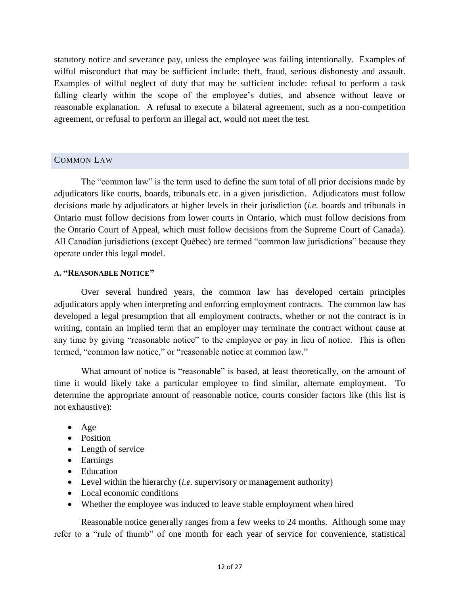statutory notice and severance pay, unless the employee was failing intentionally. Examples of wilful misconduct that may be sufficient include: theft, fraud, serious dishonesty and assault. Examples of wilful neglect of duty that may be sufficient include: refusal to perform a task falling clearly within the scope of the employee's duties, and absence without leave or reasonable explanation. A refusal to execute a bilateral agreement, such as a non-competition agreement, or refusal to perform an illegal act, would not meet the test.

#### <span id="page-11-0"></span>COMMON LAW

The "common law" is the term used to define the sum total of all prior decisions made by adjudicators like courts, boards, tribunals etc. in a given jurisdiction. Adjudicators must follow decisions made by adjudicators at higher levels in their jurisdiction (*i.e.* boards and tribunals in Ontario must follow decisions from lower courts in Ontario, which must follow decisions from the Ontario Court of Appeal, which must follow decisions from the Supreme Court of Canada). All Canadian jurisdictions (except Québec) are termed "common law jurisdictions" because they operate under this legal model.

#### <span id="page-11-1"></span>**A. "REASONABLE NOTICE"**

Over several hundred years, the common law has developed certain principles adjudicators apply when interpreting and enforcing employment contracts. The common law has developed a legal presumption that all employment contracts, whether or not the contract is in writing, contain an implied term that an employer may terminate the contract without cause at any time by giving "reasonable notice" to the employee or pay in lieu of notice. This is often termed, "common law notice," or "reasonable notice at common law."

What amount of notice is "reasonable" is based, at least theoretically, on the amount of time it would likely take a particular employee to find similar, alternate employment. To determine the appropriate amount of reasonable notice, courts consider factors like (this list is not exhaustive):

- Age
- Position
- Length of service
- Earnings
- Education
- Level within the hierarchy (*i.e.* supervisory or management authority)
- Local economic conditions
- Whether the employee was induced to leave stable employment when hired

Reasonable notice generally ranges from a few weeks to 24 months. Although some may refer to a "rule of thumb" of one month for each year of service for convenience, statistical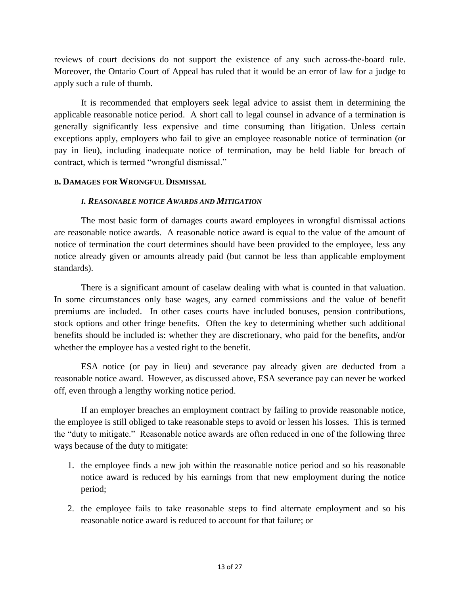reviews of court decisions do not support the existence of any such across-the-board rule. Moreover, the Ontario Court of Appeal has ruled that it would be an error of law for a judge to apply such a rule of thumb.

It is recommended that employers seek legal advice to assist them in determining the applicable reasonable notice period. A short call to legal counsel in advance of a termination is generally significantly less expensive and time consuming than litigation. Unless certain exceptions apply, employers who fail to give an employee reasonable notice of termination (or pay in lieu), including inadequate notice of termination, may be held liable for breach of contract, which is termed "wrongful dismissal."

#### <span id="page-12-1"></span><span id="page-12-0"></span>**B. DAMAGES FOR WRONGFUL DISMISSAL**

#### *I. REASONABLE NOTICE AWARDS AND MITIGATION*

The most basic form of damages courts award employees in wrongful dismissal actions are reasonable notice awards. A reasonable notice award is equal to the value of the amount of notice of termination the court determines should have been provided to the employee, less any notice already given or amounts already paid (but cannot be less than applicable employment standards).

There is a significant amount of caselaw dealing with what is counted in that valuation. In some circumstances only base wages, any earned commissions and the value of benefit premiums are included. In other cases courts have included bonuses, pension contributions, stock options and other fringe benefits. Often the key to determining whether such additional benefits should be included is: whether they are discretionary, who paid for the benefits, and/or whether the employee has a vested right to the benefit.

ESA notice (or pay in lieu) and severance pay already given are deducted from a reasonable notice award. However, as discussed above, ESA severance pay can never be worked off, even through a lengthy working notice period.

If an employer breaches an employment contract by failing to provide reasonable notice, the employee is still obliged to take reasonable steps to avoid or lessen his losses. This is termed the "duty to mitigate." Reasonable notice awards are often reduced in one of the following three ways because of the duty to mitigate:

- 1. the employee finds a new job within the reasonable notice period and so his reasonable notice award is reduced by his earnings from that new employment during the notice period;
- 2. the employee fails to take reasonable steps to find alternate employment and so his reasonable notice award is reduced to account for that failure; or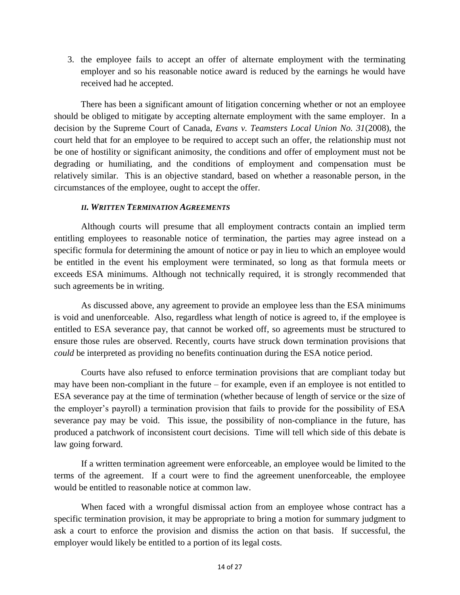3. the employee fails to accept an offer of alternate employment with the terminating employer and so his reasonable notice award is reduced by the earnings he would have received had he accepted.

There has been a significant amount of litigation concerning whether or not an employee should be obliged to mitigate by accepting alternate employment with the same employer. In a decision by the Supreme Court of Canada, *Evans v. Teamsters Local Union No. 31*(2008), the court held that for an employee to be required to accept such an offer, the relationship must not be one of hostility or significant animosity, the conditions and offer of employment must not be degrading or humiliating, and the conditions of employment and compensation must be relatively similar. This is an objective standard, based on whether a reasonable person, in the circumstances of the employee, ought to accept the offer.

#### *II. WRITTEN TERMINATION AGREEMENTS*

<span id="page-13-0"></span>Although courts will presume that all employment contracts contain an implied term entitling employees to reasonable notice of termination, the parties may agree instead on a specific formula for determining the amount of notice or pay in lieu to which an employee would be entitled in the event his employment were terminated, so long as that formula meets or exceeds ESA minimums. Although not technically required, it is strongly recommended that such agreements be in writing.

As discussed above, any agreement to provide an employee less than the ESA minimums is void and unenforceable. Also, regardless what length of notice is agreed to, if the employee is entitled to ESA severance pay, that cannot be worked off, so agreements must be structured to ensure those rules are observed. Recently, courts have struck down termination provisions that *could* be interpreted as providing no benefits continuation during the ESA notice period.

Courts have also refused to enforce termination provisions that are compliant today but may have been non-compliant in the future – for example, even if an employee is not entitled to ESA severance pay at the time of termination (whether because of length of service or the size of the employer's payroll) a termination provision that fails to provide for the possibility of ESA severance pay may be void. This issue, the possibility of non-compliance in the future, has produced a patchwork of inconsistent court decisions. Time will tell which side of this debate is law going forward.

If a written termination agreement were enforceable, an employee would be limited to the terms of the agreement. If a court were to find the agreement unenforceable, the employee would be entitled to reasonable notice at common law.

When faced with a wrongful dismissal action from an employee whose contract has a specific termination provision, it may be appropriate to bring a motion for summary judgment to ask a court to enforce the provision and dismiss the action on that basis. If successful, the employer would likely be entitled to a portion of its legal costs.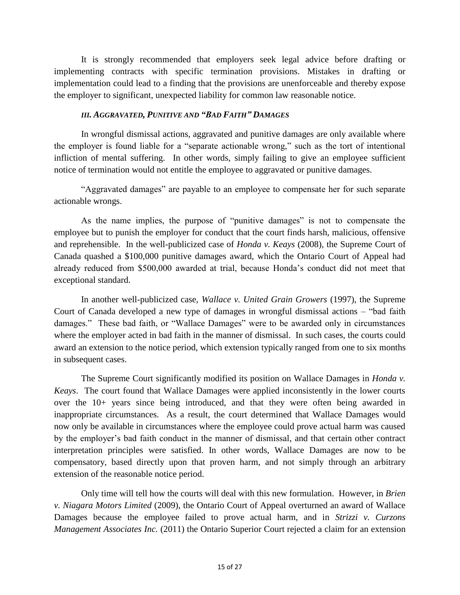It is strongly recommended that employers seek legal advice before drafting or implementing contracts with specific termination provisions. Mistakes in drafting or implementation could lead to a finding that the provisions are unenforceable and thereby expose the employer to significant, unexpected liability for common law reasonable notice.

#### *III. AGGRAVATED, PUNITIVE AND "BAD FAITH" DAMAGES*

<span id="page-14-0"></span>In wrongful dismissal actions, aggravated and punitive damages are only available where the employer is found liable for a "separate actionable wrong," such as the tort of intentional infliction of mental suffering. In other words, simply failing to give an employee sufficient notice of termination would not entitle the employee to aggravated or punitive damages.

"Aggravated damages" are payable to an employee to compensate her for such separate actionable wrongs.

As the name implies, the purpose of "punitive damages" is not to compensate the employee but to punish the employer for conduct that the court finds harsh, malicious, offensive and reprehensible. In the well-publicized case of *Honda v. Keays* (2008), the Supreme Court of Canada quashed a \$100,000 punitive damages award, which the Ontario Court of Appeal had already reduced from \$500,000 awarded at trial, because Honda's conduct did not meet that exceptional standard.

In another well-publicized case, *Wallace v. United Grain Growers* (1997), the Supreme Court of Canada developed a new type of damages in wrongful dismissal actions – "bad faith damages." These bad faith, or "Wallace Damages" were to be awarded only in circumstances where the employer acted in bad faith in the manner of dismissal. In such cases, the courts could award an extension to the notice period, which extension typically ranged from one to six months in subsequent cases.

The Supreme Court significantly modified its position on Wallace Damages in *Honda v. Keays*. The court found that Wallace Damages were applied inconsistently in the lower courts over the 10+ years since being introduced, and that they were often being awarded in inappropriate circumstances. As a result, the court determined that Wallace Damages would now only be available in circumstances where the employee could prove actual harm was caused by the employer's bad faith conduct in the manner of dismissal, and that certain other contract interpretation principles were satisfied. In other words, Wallace Damages are now to be compensatory, based directly upon that proven harm, and not simply through an arbitrary extension of the reasonable notice period.

Only time will tell how the courts will deal with this new formulation. However, in *Brien v. Niagara Motors Limited* (2009), the Ontario Court of Appeal overturned an award of Wallace Damages because the employee failed to prove actual harm, and in *Strizzi v. Curzons Management Associates Inc.* (2011) the Ontario Superior Court rejected a claim for an extension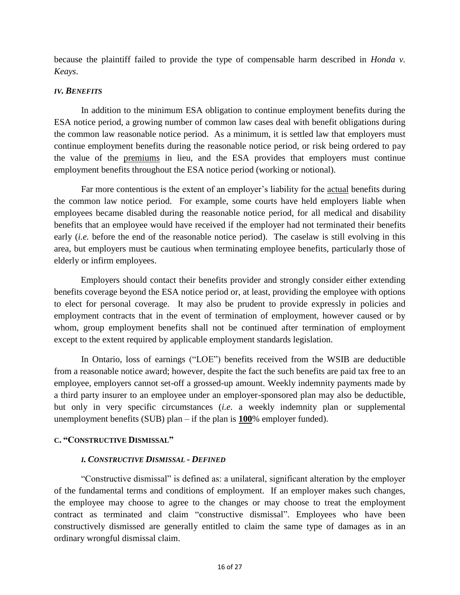because the plaintiff failed to provide the type of compensable harm described in *Honda v. Keays*.

#### <span id="page-15-0"></span>*IV. BENEFITS*

In addition to the minimum ESA obligation to continue employment benefits during the ESA notice period, a growing number of common law cases deal with benefit obligations during the common law reasonable notice period. As a minimum, it is settled law that employers must continue employment benefits during the reasonable notice period, or risk being ordered to pay the value of the premiums in lieu, and the ESA provides that employers must continue employment benefits throughout the ESA notice period (working or notional).

Far more contentious is the extent of an employer's liability for the actual benefits during the common law notice period. For example, some courts have held employers liable when employees became disabled during the reasonable notice period, for all medical and disability benefits that an employee would have received if the employer had not terminated their benefits early *(i.e.* before the end of the reasonable notice period). The caselaw is still evolving in this area, but employers must be cautious when terminating employee benefits, particularly those of elderly or infirm employees.

Employers should contact their benefits provider and strongly consider either extending benefits coverage beyond the ESA notice period or, at least, providing the employee with options to elect for personal coverage. It may also be prudent to provide expressly in policies and employment contracts that in the event of termination of employment, however caused or by whom, group employment benefits shall not be continued after termination of employment except to the extent required by applicable employment standards legislation.

In Ontario, loss of earnings ("LOE") benefits received from the WSIB are deductible from a reasonable notice award; however, despite the fact the such benefits are paid tax free to an employee, employers cannot set-off a grossed-up amount. Weekly indemnity payments made by a third party insurer to an employee under an employer-sponsored plan may also be deductible, but only in very specific circumstances (*i.e.* a weekly indemnity plan or supplemental unemployment benefits (SUB) plan – if the plan is **100**% employer funded).

# <span id="page-15-2"></span><span id="page-15-1"></span>**C. "CONSTRUCTIVE DISMISSAL"**

#### *I. CONSTRUCTIVE DISMISSAL - DEFINED*

"Constructive dismissal" is defined as: a unilateral, significant alteration by the employer of the fundamental terms and conditions of employment. If an employer makes such changes, the employee may choose to agree to the changes or may choose to treat the employment contract as terminated and claim "constructive dismissal". Employees who have been constructively dismissed are generally entitled to claim the same type of damages as in an ordinary wrongful dismissal claim.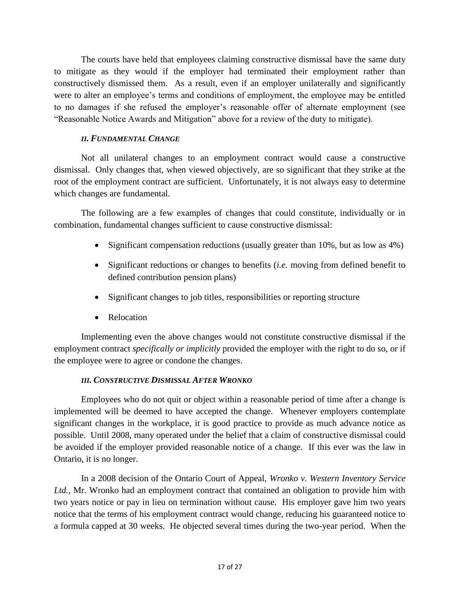The courts have held that employees claiming constructive dismissal have the same duty to mitigate as they would if the employer had terminated their employment rather than constructively dismissed them. As a result, even if an employer unilaterally and significantly were to alter an employee's terms and conditions of employment, the employee may be entitled to no damages if she refused the employer's reasonable offer of alternate employment (see "Reasonable Notice Awards and Mitigation" above for a review of the duty to mitigate).

# *II. FUNDAMENTAL CHANGE*

<span id="page-16-0"></span>Not all unilateral changes to an employment contract would cause a constructive dismissal. Only changes that, when viewed objectively, are so significant that they strike at the root of the employment contract are sufficient. Unfortunately, it is not always easy to determine which changes are fundamental.

The following are a few examples of changes that could constitute, individually or in combination, fundamental changes sufficient to cause constructive dismissal:

- $\bullet$  Significant compensation reductions (usually greater than 10%, but as low as 4%)
- Significant reductions or changes to benefits (*i.e.* moving from defined benefit to defined contribution pension plans)
- Significant changes to job titles, responsibilities or reporting structure
- Relocation

Implementing even the above changes would not constitute constructive dismissal if the employment contract *specifically or implicitly* provided the employer with the right to do so, or if the employee were to agree or condone the changes.

# *III. CONSTRUCTIVE DISMISSAL AFTER WRONKO*

<span id="page-16-1"></span>Employees who do not quit or object within a reasonable period of time after a change is implemented will be deemed to have accepted the change. Whenever employers contemplate significant changes in the workplace, it is good practice to provide as much advance notice as possible. Until 2008, many operated under the belief that a claim of constructive dismissal could be avoided if the employer provided reasonable notice of a change. If this ever was the law in Ontario, it is no longer.

In a 2008 decision of the Ontario Court of Appeal, *Wronko v. Western Inventory Service Ltd.*, Mr. Wronko had an employment contract that contained an obligation to provide him with two years notice or pay in lieu on termination without cause. His employer gave him two years notice that the terms of his employment contract would change, reducing his guaranteed notice to a formula capped at 30 weeks. He objected several times during the two-year period. When the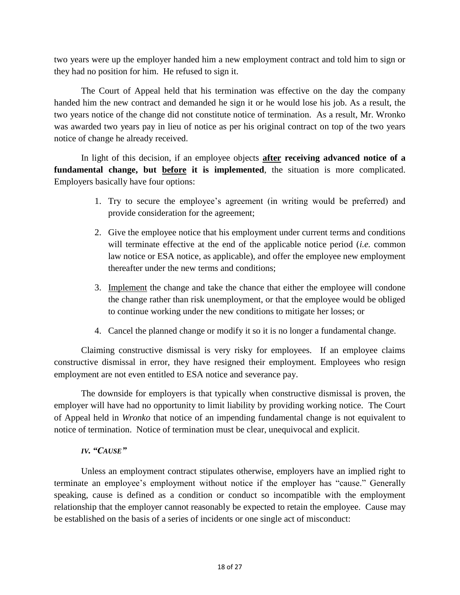two years were up the employer handed him a new employment contract and told him to sign or they had no position for him. He refused to sign it.

The Court of Appeal held that his termination was effective on the day the company handed him the new contract and demanded he sign it or he would lose his job. As a result, the two years notice of the change did not constitute notice of termination. As a result, Mr. Wronko was awarded two years pay in lieu of notice as per his original contract on top of the two years notice of change he already received.

In light of this decision, if an employee objects **after receiving advanced notice of a fundamental change, but before it is implemented**, the situation is more complicated. Employers basically have four options:

- 1. Try to secure the employee's agreement (in writing would be preferred) and provide consideration for the agreement;
- 2. Give the employee notice that his employment under current terms and conditions will terminate effective at the end of the applicable notice period (*i.e.* common law notice or ESA notice, as applicable), and offer the employee new employment thereafter under the new terms and conditions;
- 3. Implement the change and take the chance that either the employee will condone the change rather than risk unemployment, or that the employee would be obliged to continue working under the new conditions to mitigate her losses; or
- 4. Cancel the planned change or modify it so it is no longer a fundamental change.

Claiming constructive dismissal is very risky for employees. If an employee claims constructive dismissal in error, they have resigned their employment. Employees who resign employment are not even entitled to ESA notice and severance pay.

The downside for employers is that typically when constructive dismissal is proven, the employer will have had no opportunity to limit liability by providing working notice. The Court of Appeal held in *Wronko* that notice of an impending fundamental change is not equivalent to notice of termination. Notice of termination must be clear, unequivocal and explicit.

# *IV. "CAUSE"*

<span id="page-17-0"></span>Unless an employment contract stipulates otherwise, employers have an implied right to terminate an employee's employment without notice if the employer has "cause." Generally speaking, cause is defined as a condition or conduct so incompatible with the employment relationship that the employer cannot reasonably be expected to retain the employee. Cause may be established on the basis of a series of incidents or one single act of misconduct: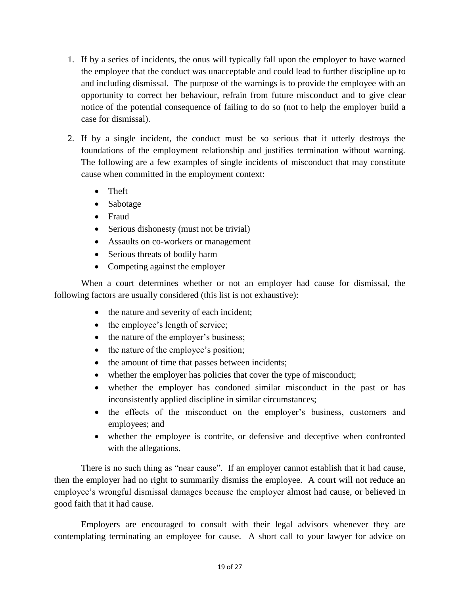- 1. If by a series of incidents, the onus will typically fall upon the employer to have warned the employee that the conduct was unacceptable and could lead to further discipline up to and including dismissal. The purpose of the warnings is to provide the employee with an opportunity to correct her behaviour, refrain from future misconduct and to give clear notice of the potential consequence of failing to do so (not to help the employer build a case for dismissal).
- 2. If by a single incident, the conduct must be so serious that it utterly destroys the foundations of the employment relationship and justifies termination without warning. The following are a few examples of single incidents of misconduct that may constitute cause when committed in the employment context:
	- Theft
	- Sabotage
	- Fraud
	- Serious dishonesty (must not be trivial)
	- Assaults on co-workers or management
	- Serious threats of bodily harm
	- Competing against the employer

When a court determines whether or not an employer had cause for dismissal, the following factors are usually considered (this list is not exhaustive):

- the nature and severity of each incident;
- $\bullet$  the employee's length of service;
- the nature of the employer's business;
- the nature of the employee's position;
- the amount of time that passes between incidents;
- whether the employer has policies that cover the type of misconduct;
- whether the employer has condoned similar misconduct in the past or has inconsistently applied discipline in similar circumstances;
- the effects of the misconduct on the employer's business, customers and employees; and
- whether the employee is contrite, or defensive and deceptive when confronted with the allegations.

There is no such thing as "near cause". If an employer cannot establish that it had cause, then the employer had no right to summarily dismiss the employee. A court will not reduce an employee's wrongful dismissal damages because the employer almost had cause, or believed in good faith that it had cause.

Employers are encouraged to consult with their legal advisors whenever they are contemplating terminating an employee for cause. A short call to your lawyer for advice on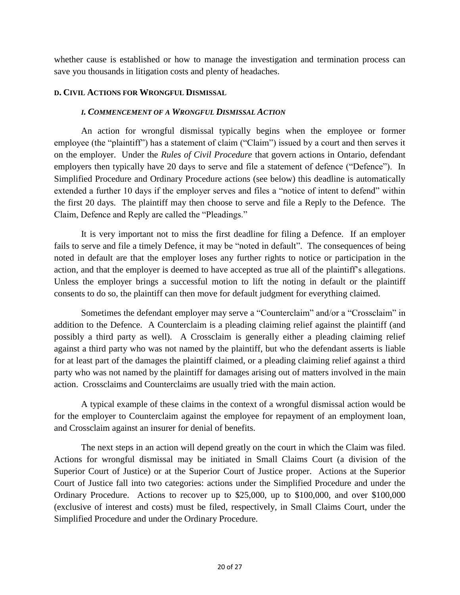whether cause is established or how to manage the investigation and termination process can save you thousands in litigation costs and plenty of headaches.

#### <span id="page-19-1"></span><span id="page-19-0"></span>**D. CIVIL ACTIONS FOR WRONGFUL DISMISSAL**

#### *I. COMMENCEMENT OF A WRONGFUL DISMISSAL ACTION*

An action for wrongful dismissal typically begins when the employee or former employee (the "plaintiff") has a statement of claim ("Claim") issued by a court and then serves it on the employer. Under the *Rules of Civil Procedure* that govern actions in Ontario, defendant employers then typically have 20 days to serve and file a statement of defence ("Defence"). In Simplified Procedure and Ordinary Procedure actions (see below) this deadline is automatically extended a further 10 days if the employer serves and files a "notice of intent to defend" within the first 20 days. The plaintiff may then choose to serve and file a Reply to the Defence. The Claim, Defence and Reply are called the "Pleadings."

It is very important not to miss the first deadline for filing a Defence. If an employer fails to serve and file a timely Defence, it may be "noted in default". The consequences of being noted in default are that the employer loses any further rights to notice or participation in the action, and that the employer is deemed to have accepted as true all of the plaintiff's allegations. Unless the employer brings a successful motion to lift the noting in default or the plaintiff consents to do so, the plaintiff can then move for default judgment for everything claimed.

Sometimes the defendant employer may serve a "Counterclaim" and/or a "Crossclaim" in addition to the Defence. A Counterclaim is a pleading claiming relief against the plaintiff (and possibly a third party as well). A Crossclaim is generally either a pleading claiming relief against a third party who was not named by the plaintiff, but who the defendant asserts is liable for at least part of the damages the plaintiff claimed, or a pleading claiming relief against a third party who was not named by the plaintiff for damages arising out of matters involved in the main action. Crossclaims and Counterclaims are usually tried with the main action.

A typical example of these claims in the context of a wrongful dismissal action would be for the employer to Counterclaim against the employee for repayment of an employment loan, and Crossclaim against an insurer for denial of benefits.

The next steps in an action will depend greatly on the court in which the Claim was filed. Actions for wrongful dismissal may be initiated in Small Claims Court (a division of the Superior Court of Justice) or at the Superior Court of Justice proper. Actions at the Superior Court of Justice fall into two categories: actions under the Simplified Procedure and under the Ordinary Procedure. Actions to recover up to \$25,000, up to \$100,000, and over \$100,000 (exclusive of interest and costs) must be filed, respectively, in Small Claims Court, under the Simplified Procedure and under the Ordinary Procedure.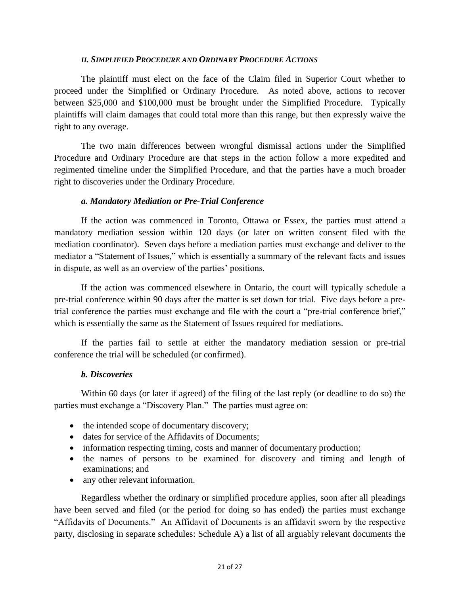#### *II. SIMPLIFIED PROCEDURE AND ORDINARY PROCEDURE ACTIONS*

<span id="page-20-0"></span>The plaintiff must elect on the face of the Claim filed in Superior Court whether to proceed under the Simplified or Ordinary Procedure. As noted above, actions to recover between \$25,000 and \$100,000 must be brought under the Simplified Procedure. Typically plaintiffs will claim damages that could total more than this range, but then expressly waive the right to any overage.

The two main differences between wrongful dismissal actions under the Simplified Procedure and Ordinary Procedure are that steps in the action follow a more expedited and regimented timeline under the Simplified Procedure, and that the parties have a much broader right to discoveries under the Ordinary Procedure.

#### <span id="page-20-1"></span>*a. Mandatory Mediation or Pre-Trial Conference*

If the action was commenced in Toronto, Ottawa or Essex, the parties must attend a mandatory mediation session within 120 days (or later on written consent filed with the mediation coordinator). Seven days before a mediation parties must exchange and deliver to the mediator a "Statement of Issues," which is essentially a summary of the relevant facts and issues in dispute, as well as an overview of the parties' positions.

If the action was commenced elsewhere in Ontario, the court will typically schedule a pre-trial conference within 90 days after the matter is set down for trial. Five days before a pretrial conference the parties must exchange and file with the court a "pre-trial conference brief," which is essentially the same as the Statement of Issues required for mediations.

If the parties fail to settle at either the mandatory mediation session or pre-trial conference the trial will be scheduled (or confirmed).

#### <span id="page-20-2"></span>*b. Discoveries*

Within 60 days (or later if agreed) of the filing of the last reply (or deadline to do so) the parties must exchange a "Discovery Plan." The parties must agree on:

- the intended scope of documentary discovery;
- dates for service of the Affidavits of Documents;
- information respecting timing, costs and manner of documentary production;
- the names of persons to be examined for discovery and timing and length of examinations; and
- any other relevant information.

Regardless whether the ordinary or simplified procedure applies, soon after all pleadings have been served and filed (or the period for doing so has ended) the parties must exchange "Affidavits of Documents." An Affidavit of Documents is an affidavit sworn by the respective party, disclosing in separate schedules: Schedule A) a list of all arguably relevant documents the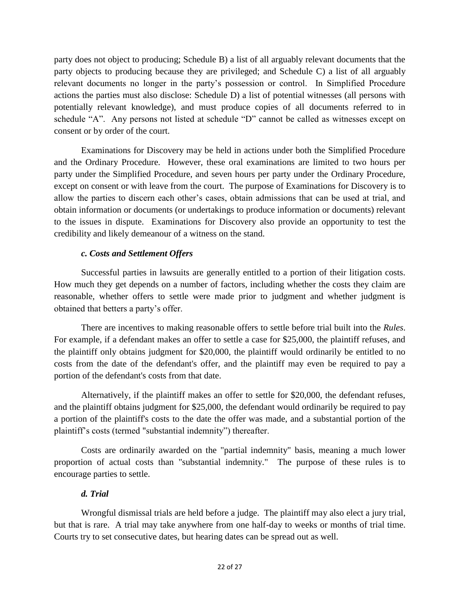party does not object to producing; Schedule B) a list of all arguably relevant documents that the party objects to producing because they are privileged; and Schedule C) a list of all arguably relevant documents no longer in the party's possession or control. In Simplified Procedure actions the parties must also disclose: Schedule D) a list of potential witnesses (all persons with potentially relevant knowledge), and must produce copies of all documents referred to in schedule "A". Any persons not listed at schedule "D" cannot be called as witnesses except on consent or by order of the court.

Examinations for Discovery may be held in actions under both the Simplified Procedure and the Ordinary Procedure. However, these oral examinations are limited to two hours per party under the Simplified Procedure, and seven hours per party under the Ordinary Procedure, except on consent or with leave from the court. The purpose of Examinations for Discovery is to allow the parties to discern each other's cases, obtain admissions that can be used at trial, and obtain information or documents (or undertakings to produce information or documents) relevant to the issues in dispute. Examinations for Discovery also provide an opportunity to test the credibility and likely demeanour of a witness on the stand.

#### <span id="page-21-0"></span>*c. Costs and Settlement Offers*

Successful parties in lawsuits are generally entitled to a portion of their litigation costs. How much they get depends on a number of factors, including whether the costs they claim are reasonable, whether offers to settle were made prior to judgment and whether judgment is obtained that betters a party's offer.

There are incentives to making reasonable offers to settle before trial built into the *Rules*. For example, if a defendant makes an offer to settle a case for \$25,000, the plaintiff refuses, and the plaintiff only obtains judgment for \$20,000, the plaintiff would ordinarily be entitled to no costs from the date of the defendant's offer, and the plaintiff may even be required to pay a portion of the defendant's costs from that date.

Alternatively, if the plaintiff makes an offer to settle for \$20,000, the defendant refuses, and the plaintiff obtains judgment for \$25,000, the defendant would ordinarily be required to pay a portion of the plaintiff's costs to the date the offer was made, and a substantial portion of the plaintiff's costs (termed "substantial indemnity") thereafter.

Costs are ordinarily awarded on the "partial indemnity" basis, meaning a much lower proportion of actual costs than "substantial indemnity." The purpose of these rules is to encourage parties to settle.

# <span id="page-21-1"></span>*d. Trial*

Wrongful dismissal trials are held before a judge. The plaintiff may also elect a jury trial, but that is rare. A trial may take anywhere from one half-day to weeks or months of trial time. Courts try to set consecutive dates, but hearing dates can be spread out as well.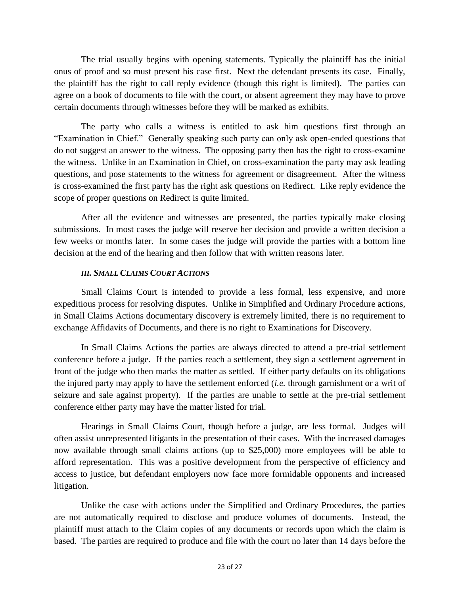The trial usually begins with opening statements. Typically the plaintiff has the initial onus of proof and so must present his case first. Next the defendant presents its case. Finally, the plaintiff has the right to call reply evidence (though this right is limited). The parties can agree on a book of documents to file with the court, or absent agreement they may have to prove certain documents through witnesses before they will be marked as exhibits.

The party who calls a witness is entitled to ask him questions first through an "Examination in Chief." Generally speaking such party can only ask open-ended questions that do not suggest an answer to the witness. The opposing party then has the right to cross-examine the witness. Unlike in an Examination in Chief, on cross-examination the party may ask leading questions, and pose statements to the witness for agreement or disagreement. After the witness is cross-examined the first party has the right ask questions on Redirect. Like reply evidence the scope of proper questions on Redirect is quite limited.

After all the evidence and witnesses are presented, the parties typically make closing submissions. In most cases the judge will reserve her decision and provide a written decision a few weeks or months later. In some cases the judge will provide the parties with a bottom line decision at the end of the hearing and then follow that with written reasons later.

#### *III. SMALL CLAIMS COURT ACTIONS*

<span id="page-22-0"></span>Small Claims Court is intended to provide a less formal, less expensive, and more expeditious process for resolving disputes. Unlike in Simplified and Ordinary Procedure actions, in Small Claims Actions documentary discovery is extremely limited, there is no requirement to exchange Affidavits of Documents, and there is no right to Examinations for Discovery.

In Small Claims Actions the parties are always directed to attend a pre-trial settlement conference before a judge. If the parties reach a settlement, they sign a settlement agreement in front of the judge who then marks the matter as settled. If either party defaults on its obligations the injured party may apply to have the settlement enforced (*i.e.* through garnishment or a writ of seizure and sale against property). If the parties are unable to settle at the pre-trial settlement conference either party may have the matter listed for trial.

Hearings in Small Claims Court, though before a judge, are less formal. Judges will often assist unrepresented litigants in the presentation of their cases. With the increased damages now available through small claims actions (up to \$25,000) more employees will be able to afford representation. This was a positive development from the perspective of efficiency and access to justice, but defendant employers now face more formidable opponents and increased litigation.

Unlike the case with actions under the Simplified and Ordinary Procedures, the parties are not automatically required to disclose and produce volumes of documents. Instead, the plaintiff must attach to the Claim copies of any documents or records upon which the claim is based. The parties are required to produce and file with the court no later than 14 days before the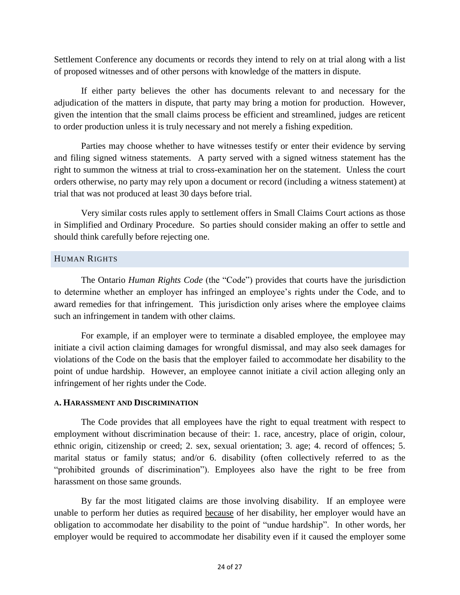Settlement Conference any documents or records they intend to rely on at trial along with a list of proposed witnesses and of other persons with knowledge of the matters in dispute.

If either party believes the other has documents relevant to and necessary for the adjudication of the matters in dispute, that party may bring a motion for production. However, given the intention that the small claims process be efficient and streamlined, judges are reticent to order production unless it is truly necessary and not merely a fishing expedition.

Parties may choose whether to have witnesses testify or enter their evidence by serving and filing signed witness statements. A party served with a signed witness statement has the right to summon the witness at trial to cross-examination her on the statement. Unless the court orders otherwise, no party may rely upon a document or record (including a witness statement) at trial that was not produced at least 30 days before trial.

Very similar costs rules apply to settlement offers in Small Claims Court actions as those in Simplified and Ordinary Procedure. So parties should consider making an offer to settle and should think carefully before rejecting one.

# <span id="page-23-0"></span>HUMAN RIGHTS

The Ontario *Human Rights Code* (the "Code") provides that courts have the jurisdiction to determine whether an employer has infringed an employee's rights under the Code, and to award remedies for that infringement. This jurisdiction only arises where the employee claims such an infringement in tandem with other claims.

For example, if an employer were to terminate a disabled employee, the employee may initiate a civil action claiming damages for wrongful dismissal, and may also seek damages for violations of the Code on the basis that the employer failed to accommodate her disability to the point of undue hardship. However, an employee cannot initiate a civil action alleging only an infringement of her rights under the Code.

#### <span id="page-23-1"></span>**A. HARASSMENT AND DISCRIMINATION**

The Code provides that all employees have the right to equal treatment with respect to employment without discrimination because of their: 1. race, ancestry, place of origin, colour, ethnic origin, citizenship or creed; 2. sex, sexual orientation; 3. age; 4. record of offences; 5. marital status or family status; and/or 6. disability (often collectively referred to as the "prohibited grounds of discrimination"). Employees also have the right to be free from harassment on those same grounds.

By far the most litigated claims are those involving disability. If an employee were unable to perform her duties as required because of her disability, her employer would have an obligation to accommodate her disability to the point of "undue hardship". In other words, her employer would be required to accommodate her disability even if it caused the employer some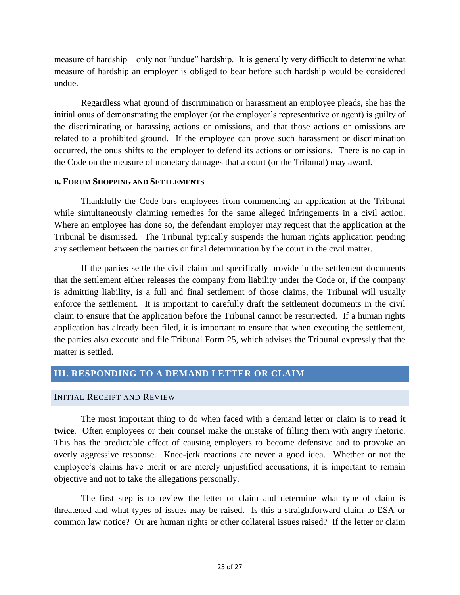measure of hardship – only not "undue" hardship. It is generally very difficult to determine what measure of hardship an employer is obliged to bear before such hardship would be considered undue.

Regardless what ground of discrimination or harassment an employee pleads, she has the initial onus of demonstrating the employer (or the employer's representative or agent) is guilty of the discriminating or harassing actions or omissions, and that those actions or omissions are related to a prohibited ground. If the employee can prove such harassment or discrimination occurred, the onus shifts to the employer to defend its actions or omissions. There is no cap in the Code on the measure of monetary damages that a court (or the Tribunal) may award.

#### <span id="page-24-0"></span>**B. FORUM SHOPPING AND SETTLEMENTS**

Thankfully the Code bars employees from commencing an application at the Tribunal while simultaneously claiming remedies for the same alleged infringements in a civil action. Where an employee has done so, the defendant employer may request that the application at the Tribunal be dismissed. The Tribunal typically suspends the human rights application pending any settlement between the parties or final determination by the court in the civil matter.

If the parties settle the civil claim and specifically provide in the settlement documents that the settlement either releases the company from liability under the Code or, if the company is admitting liability, is a full and final settlement of those claims, the Tribunal will usually enforce the settlement. It is important to carefully draft the settlement documents in the civil claim to ensure that the application before the Tribunal cannot be resurrected. If a human rights application has already been filed, it is important to ensure that when executing the settlement, the parties also execute and file Tribunal Form 25, which advises the Tribunal expressly that the matter is settled.

# <span id="page-24-1"></span>**III. RESPONDING TO A DEMAND LETTER OR CLAIM**

#### <span id="page-24-2"></span>INITIAL RECEIPT AND REVIEW

The most important thing to do when faced with a demand letter or claim is to **read it twice**. Often employees or their counsel make the mistake of filling them with angry rhetoric. This has the predictable effect of causing employers to become defensive and to provoke an overly aggressive response. Knee-jerk reactions are never a good idea. Whether or not the employee's claims have merit or are merely unjustified accusations, it is important to remain objective and not to take the allegations personally.

The first step is to review the letter or claim and determine what type of claim is threatened and what types of issues may be raised. Is this a straightforward claim to ESA or common law notice? Or are human rights or other collateral issues raised? If the letter or claim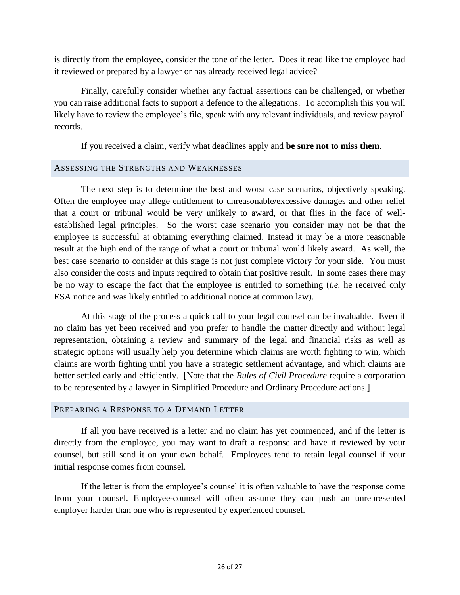is directly from the employee, consider the tone of the letter. Does it read like the employee had it reviewed or prepared by a lawyer or has already received legal advice?

Finally, carefully consider whether any factual assertions can be challenged, or whether you can raise additional facts to support a defence to the allegations. To accomplish this you will likely have to review the employee's file, speak with any relevant individuals, and review payroll records.

If you received a claim, verify what deadlines apply and **be sure not to miss them**.

#### <span id="page-25-0"></span>ASSESSING THE STRENGTHS AND WEAKNESSES

The next step is to determine the best and worst case scenarios, objectively speaking. Often the employee may allege entitlement to unreasonable/excessive damages and other relief that a court or tribunal would be very unlikely to award, or that flies in the face of wellestablished legal principles. So the worst case scenario you consider may not be that the employee is successful at obtaining everything claimed. Instead it may be a more reasonable result at the high end of the range of what a court or tribunal would likely award. As well, the best case scenario to consider at this stage is not just complete victory for your side. You must also consider the costs and inputs required to obtain that positive result. In some cases there may be no way to escape the fact that the employee is entitled to something (*i.e.* he received only ESA notice and was likely entitled to additional notice at common law).

At this stage of the process a quick call to your legal counsel can be invaluable. Even if no claim has yet been received and you prefer to handle the matter directly and without legal representation, obtaining a review and summary of the legal and financial risks as well as strategic options will usually help you determine which claims are worth fighting to win, which claims are worth fighting until you have a strategic settlement advantage, and which claims are better settled early and efficiently. [Note that the *Rules of Civil Procedure* require a corporation to be represented by a lawyer in Simplified Procedure and Ordinary Procedure actions.]

#### <span id="page-25-1"></span>PREPARING A RESPONSE TO A DEMAND LETTER

If all you have received is a letter and no claim has yet commenced, and if the letter is directly from the employee, you may want to draft a response and have it reviewed by your counsel, but still send it on your own behalf. Employees tend to retain legal counsel if your initial response comes from counsel.

If the letter is from the employee's counsel it is often valuable to have the response come from your counsel. Employee-counsel will often assume they can push an unrepresented employer harder than one who is represented by experienced counsel.